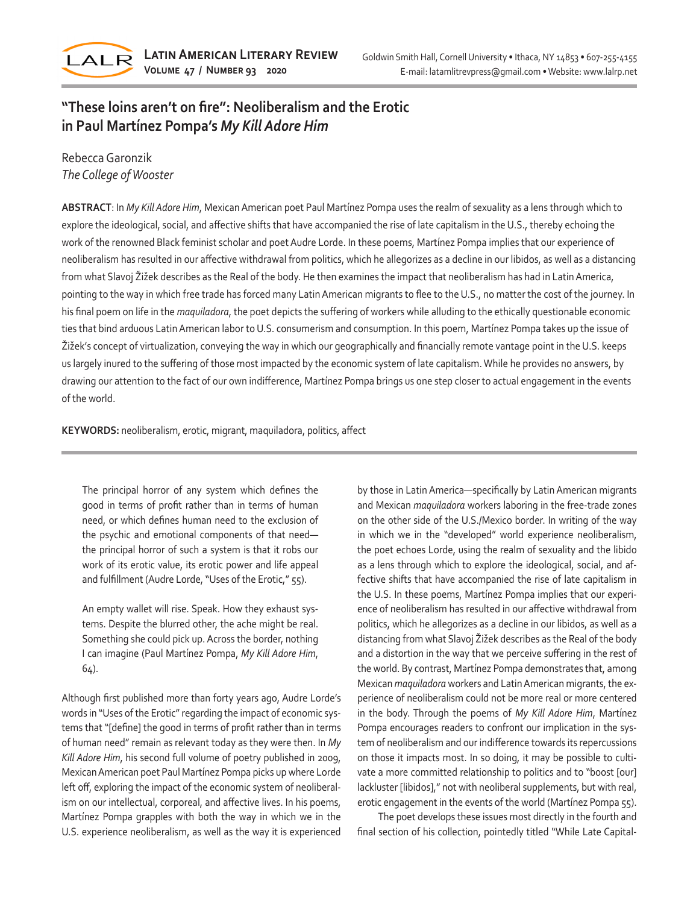

## **"These loins aren't on fire": Neoliberalism and the Erotic in Paul Martínez Pompa's** *My Kill Adore Him*

## Rebecca Garonzik *The College of Wooster*

**ABSTRACT**: In *My Kill Adore Him*, Mexican American poet Paul Martínez Pompa uses the realm of sexuality as a lens through which to explore the ideological, social, and affective shifts that have accompanied the rise of late capitalism in the U.S., thereby echoing the work of the renowned Black feminist scholar and poet Audre Lorde. In these poems, Martínez Pompa implies that our experience of neoliberalism has resulted in our affective withdrawal from politics, which he allegorizes as a decline in our libidos, as well as a distancing from what Slavoj Žižek describes as the Real of the body. He then examines the impact that neoliberalism has had in Latin America, pointing to the way in which free trade has forced many Latin American migrants to flee to the U.S., no matter the cost of the journey. In his final poem on life in the *maquiladora*, the poet depicts the suffering of workers while alluding to the ethically questionable economic ties that bind arduous Latin American labor to U.S. consumerism and consumption. In this poem, Martínez Pompa takes up the issue of Žižek's concept of virtualization, conveying the way in which our geographically and financially remote vantage point in the U.S. keeps us largely inured to the suffering of those most impacted by the economic system of late capitalism. While he provides no answers, by drawing our attention to the fact of our own indifference, Martínez Pompa brings us one step closer to actual engagement in the events of the world.

**KEYWORDS:** neoliberalism, erotic, migrant, maquiladora, politics, affect

The principal horror of any system which defines the good in terms of profit rather than in terms of human need, or which defines human need to the exclusion of the psychic and emotional components of that need the principal horror of such a system is that it robs our work of its erotic value, its erotic power and life appeal and fulfillment (Audre Lorde, "Uses of the Erotic," 55).

An empty wallet will rise. Speak. How they exhaust systems. Despite the blurred other, the ache might be real. Something she could pick up. Across the border, nothing I can imagine (Paul Martínez Pompa, *My Kill Adore Him*, 64).

Although first published more than forty years ago, Audre Lorde's words in "Uses of the Erotic" regarding the impact of economic systems that "[define] the good in terms of profit rather than in terms of human need" remain as relevant today as they were then. In *My Kill Adore Him*, his second full volume of poetry published in 2009, Mexican American poet Paul Martínez Pompa picks up where Lorde left off, exploring the impact of the economic system of neoliberalism on our intellectual, corporeal, and affective lives. In his poems, Martínez Pompa grapples with both the way in which we in the U.S. experience neoliberalism, as well as the way it is experienced

by those in Latin America—specifically by Latin American migrants and Mexican *maquiladora* workers laboring in the free-trade zones on the other side of the U.S./Mexico border. In writing of the way in which we in the "developed" world experience neoliberalism, the poet echoes Lorde, using the realm of sexuality and the libido as a lens through which to explore the ideological, social, and affective shifts that have accompanied the rise of late capitalism in the U.S. In these poems, Martínez Pompa implies that our experience of neoliberalism has resulted in our affective withdrawal from politics, which he allegorizes as a decline in our libidos, as well as a distancing from what Slavoj Žižek describes as the Real of the body and a distortion in the way that we perceive suffering in the rest of the world. By contrast, Martínez Pompa demonstrates that, among Mexican *maquiladora* workers and Latin American migrants, the experience of neoliberalism could not be more real or more centered in the body. Through the poems of *My Kill Adore Him*, Martínez Pompa encourages readers to confront our implication in the system of neoliberalism and our indifference towards its repercussions on those it impacts most. In so doing, it may be possible to cultivate a more committed relationship to politics and to "boost [our] lackluster [libidos]," not with neoliberal supplements, but with real, erotic engagement in the events of the world (Martínez Pompa 55).

The poet develops these issues most directly in the fourth and final section of his collection, pointedly titled "While Late Capital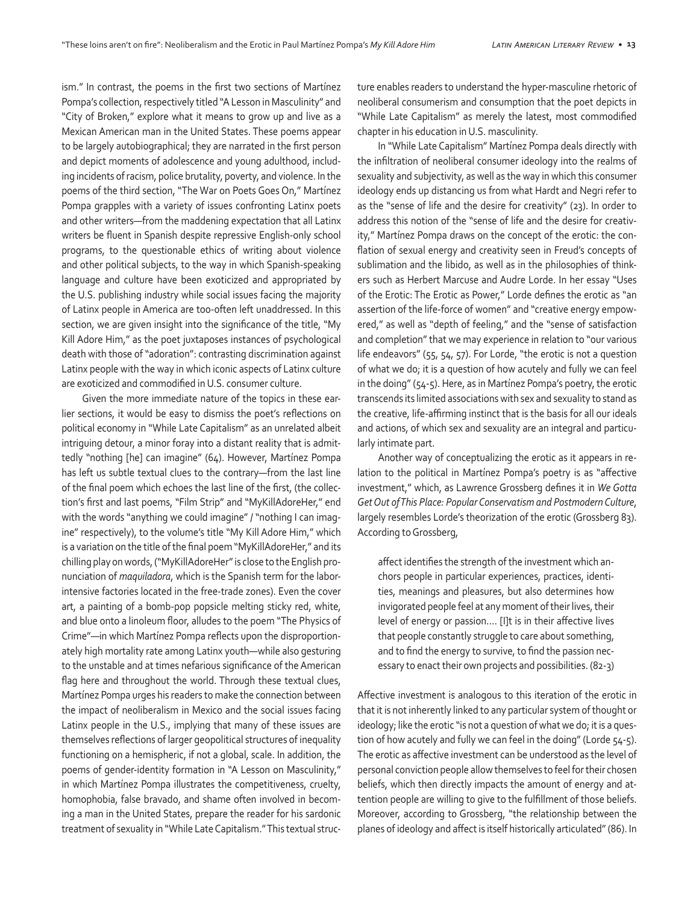ism." In contrast, the poems in the first two sections of Martínez Pompa's collection, respectively titled "A Lesson in Masculinity" and "City of Broken," explore what it means to grow up and live as a Mexican American man in the United States. These poems appear to be largely autobiographical; they are narrated in the first person and depict moments of adolescence and young adulthood, including incidents of racism, police brutality, poverty, and violence. In the poems of the third section, "The War on Poets Goes On," Martínez Pompa grapples with a variety of issues confronting Latinx poets and other writers—from the maddening expectation that all Latinx writers be fluent in Spanish despite repressive English-only school programs, to the questionable ethics of writing about violence and other political subjects, to the way in which Spanish-speaking language and culture have been exoticized and appropriated by the U.S. publishing industry while social issues facing the majority of Latinx people in America are too-often left unaddressed. In this section, we are given insight into the significance of the title, "My Kill Adore Him," as the poet juxtaposes instances of psychological death with those of "adoration": contrasting discrimination against Latinx people with the way in which iconic aspects of Latinx culture are exoticized and commodified in U.S. consumer culture.

Given the more immediate nature of the topics in these earlier sections, it would be easy to dismiss the poet's reflections on political economy in "While Late Capitalism" as an unrelated albeit intriguing detour, a minor foray into a distant reality that is admittedly "nothing [he] can imagine" (64). However, Martínez Pompa has left us subtle textual clues to the contrary—from the last line of the final poem which echoes the last line of the first, (the collection's first and last poems, "Film Strip" and "MyKillAdoreHer," end with the words "anything we could imagine" / "nothing I can imagine" respectively), to the volume's title "My Kill Adore Him," which is a variation on the title of the final poem "MyKillAdoreHer," and its chilling play on words, ("MyKillAdoreHer" is close to the English pronunciation of *maquiladora*, which is the Spanish term for the laborintensive factories located in the free-trade zones). Even the cover art, a painting of a bomb-pop popsicle melting sticky red, white, and blue onto a linoleum floor, alludes to the poem "The Physics of Crime"—in which Martínez Pompa reflects upon the disproportionately high mortality rate among Latinx youth—while also gesturing to the unstable and at times nefarious significance of the American flag here and throughout the world. Through these textual clues, Martínez Pompa urges his readers to make the connection between the impact of neoliberalism in Mexico and the social issues facing Latinx people in the U.S., implying that many of these issues are themselves reflections of larger geopolitical structures of inequality functioning on a hemispheric, if not a global, scale. In addition, the poems of gender-identity formation in "A Lesson on Masculinity," in which Martínez Pompa illustrates the competitiveness, cruelty, homophobia, false bravado, and shame often involved in becoming a man in the United States, prepare the reader for his sardonic treatment of sexuality in "While Late Capitalism." This textual structure enables readers to understand the hyper-masculine rhetoric of neoliberal consumerism and consumption that the poet depicts in "While Late Capitalism" as merely the latest, most commodified chapter in his education in U.S. masculinity.

In "While Late Capitalism" Martínez Pompa deals directly with the infiltration of neoliberal consumer ideology into the realms of sexuality and subjectivity, as well as the way in which this consumer ideology ends up distancing us from what Hardt and Negri refer to as the "sense of life and the desire for creativity" (23). In order to address this notion of the "sense of life and the desire for creativity," Martínez Pompa draws on the concept of the erotic: the conflation of sexual energy and creativity seen in Freud's concepts of sublimation and the libido, as well as in the philosophies of thinkers such as Herbert Marcuse and Audre Lorde. In her essay "Uses of the Erotic: The Erotic as Power," Lorde defines the erotic as "an assertion of the life-force of women" and "creative energy empowered," as well as "depth of feeling," and the "sense of satisfaction and completion" that we may experience in relation to "our various life endeavors" (55, 54, 57). For Lorde, "the erotic is not a question of what we do; it is a question of how acutely and fully we can feel in the doing" (54-5). Here, as in Martínez Pompa's poetry, the erotic transcends its limited associations with sex and sexuality to stand as the creative, life-affirming instinct that is the basis for all our ideals and actions, of which sex and sexuality are an integral and particularly intimate part.

Another way of conceptualizing the erotic as it appears in relation to the political in Martínez Pompa's poetry is as "affective investment," which, as Lawrence Grossberg defines it in *We Gotta Get Out of This Place: Popular Conservatism and Postmodern Culture*, largely resembles Lorde's theorization of the erotic (Grossberg 83). According to Grossberg,

affect identifies the strength of the investment which anchors people in particular experiences, practices, identities, meanings and pleasures, but also determines how invigorated people feel at any moment of their lives, their level of energy or passion…. [I]t is in their affective lives that people constantly struggle to care about something, and to find the energy to survive, to find the passion necessary to enact their own projects and possibilities. (82-3)

Affective investment is analogous to this iteration of the erotic in that it is not inherently linked to any particular system of thought or ideology; like the erotic "is not a question of what we do; it is a question of how acutely and fully we can feel in the doing" (Lorde 54-5). The erotic as affective investment can be understood as the level of personal conviction people allow themselves to feel for their chosen beliefs, which then directly impacts the amount of energy and attention people are willing to give to the fulfillment of those beliefs. Moreover, according to Grossberg, "the relationship between the planes of ideology and affect is itself historically articulated" (86). In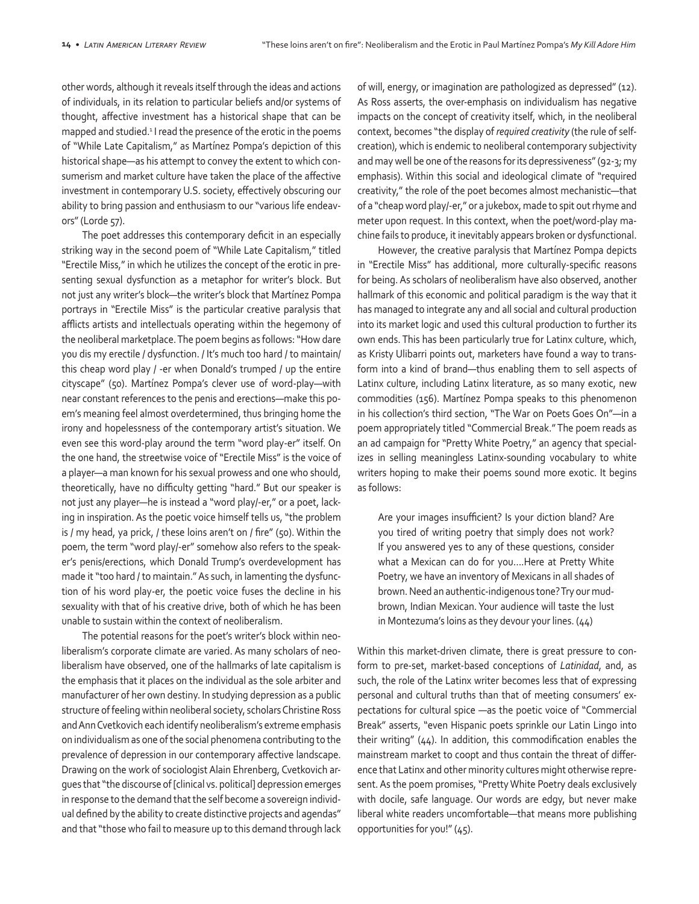other words, although it reveals itself through the ideas and actions of individuals, in its relation to particular beliefs and/or systems of thought, affective investment has a historical shape that can be mapped and studied.<sup>1</sup> I read the presence of the erotic in the poems of "While Late Capitalism," as Martínez Pompa's depiction of this historical shape—as his attempt to convey the extent to which consumerism and market culture have taken the place of the affective investment in contemporary U.S. society, effectively obscuring our ability to bring passion and enthusiasm to our "various life endeavors" (Lorde 57).

The poet addresses this contemporary deficit in an especially striking way in the second poem of "While Late Capitalism," titled "Erectile Miss," in which he utilizes the concept of the erotic in presenting sexual dysfunction as a metaphor for writer's block. But not just any writer's block—the writer's block that Martínez Pompa portrays in "Erectile Miss" is the particular creative paralysis that afflicts artists and intellectuals operating within the hegemony of the neoliberal marketplace. The poem begins as follows: "How dare you dis my erectile / dysfunction. / It's much too hard / to maintain/ this cheap word play / -er when Donald's trumped / up the entire cityscape" (50). Martínez Pompa's clever use of word-play—with near constant references to the penis and erections—make this poem's meaning feel almost overdetermined, thus bringing home the irony and hopelessness of the contemporary artist's situation. We even see this word-play around the term "word play-er" itself. On the one hand, the streetwise voice of "Erectile Miss" is the voice of a player—a man known for his sexual prowess and one who should, theoretically, have no difficulty getting "hard." But our speaker is not just any player—he is instead a "word play/-er," or a poet, lacking in inspiration. As the poetic voice himself tells us, "the problem is / my head, ya prick, / these loins aren't on / fire" (50). Within the poem, the term "word play/-er" somehow also refers to the speaker's penis/erections, which Donald Trump's overdevelopment has made it "too hard / to maintain." As such, in lamenting the dysfunction of his word play-er, the poetic voice fuses the decline in his sexuality with that of his creative drive, both of which he has been unable to sustain within the context of neoliberalism.

The potential reasons for the poet's writer's block within neoliberalism's corporate climate are varied. As many scholars of neoliberalism have observed, one of the hallmarks of late capitalism is the emphasis that it places on the individual as the sole arbiter and manufacturer of her own destiny. In studying depression as a public structure of feeling within neoliberal society, scholars Christine Ross and Ann Cvetkovich each identify neoliberalism's extreme emphasis on individualism as one of the social phenomena contributing to the prevalence of depression in our contemporary affective landscape. Drawing on the work of sociologist Alain Ehrenberg, Cvetkovich argues that "the discourse of [clinical vs. political] depression emerges in response to the demand that the self become a sovereign individual defined by the ability to create distinctive projects and agendas" and that "those who fail to measure up to this demand through lack of will, energy, or imagination are pathologized as depressed" (12). As Ross asserts, the over-emphasis on individualism has negative impacts on the concept of creativity itself, which, in the neoliberal context, becomes "the display of *required creativity* (the rule of selfcreation), which is endemic to neoliberal contemporary subjectivity and may well be one of the reasons for its depressiveness" (92-3; my emphasis). Within this social and ideological climate of "required creativity," the role of the poet becomes almost mechanistic—that of a "cheap word play/-er," or a jukebox, made to spit out rhyme and meter upon request. In this context, when the poet/word-play machine fails to produce, it inevitably appears broken or dysfunctional.

However, the creative paralysis that Martínez Pompa depicts in "Erectile Miss" has additional, more culturally-specific reasons for being. As scholars of neoliberalism have also observed, another hallmark of this economic and political paradigm is the way that it has managed to integrate any and all social and cultural production into its market logic and used this cultural production to further its own ends. This has been particularly true for Latinx culture, which, as Kristy Ulibarri points out, marketers have found a way to transform into a kind of brand—thus enabling them to sell aspects of Latinx culture, including Latinx literature, as so many exotic, new commodities (156). Martínez Pompa speaks to this phenomenon in his collection's third section, "The War on Poets Goes On"—in a poem appropriately titled "Commercial Break." The poem reads as an ad campaign for "Pretty White Poetry," an agency that specializes in selling meaningless Latinx-sounding vocabulary to white writers hoping to make their poems sound more exotic. It begins as follows:

Are your images insufficient? Is your diction bland? Are you tired of writing poetry that simply does not work? If you answered yes to any of these questions, consider what a Mexican can do for you….Here at Pretty White Poetry, we have an inventory of Mexicans in all shades of brown. Need an authentic-indigenous tone? Try our mudbrown, Indian Mexican. Your audience will taste the lust in Montezuma's loins as they devour your lines. (44)

Within this market-driven climate, there is great pressure to conform to pre-set, market-based conceptions of *Latinidad*, and, as such, the role of the Latinx writer becomes less that of expressing personal and cultural truths than that of meeting consumers' expectations for cultural spice —as the poetic voice of "Commercial Break" asserts, "even Hispanic poets sprinkle our Latin Lingo into their writing" (44). In addition, this commodification enables the mainstream market to coopt and thus contain the threat of difference that Latinx and other minority cultures might otherwise represent. As the poem promises, "Pretty White Poetry deals exclusively with docile, safe language. Our words are edgy, but never make liberal white readers uncomfortable—that means more publishing opportunities for you!" (45).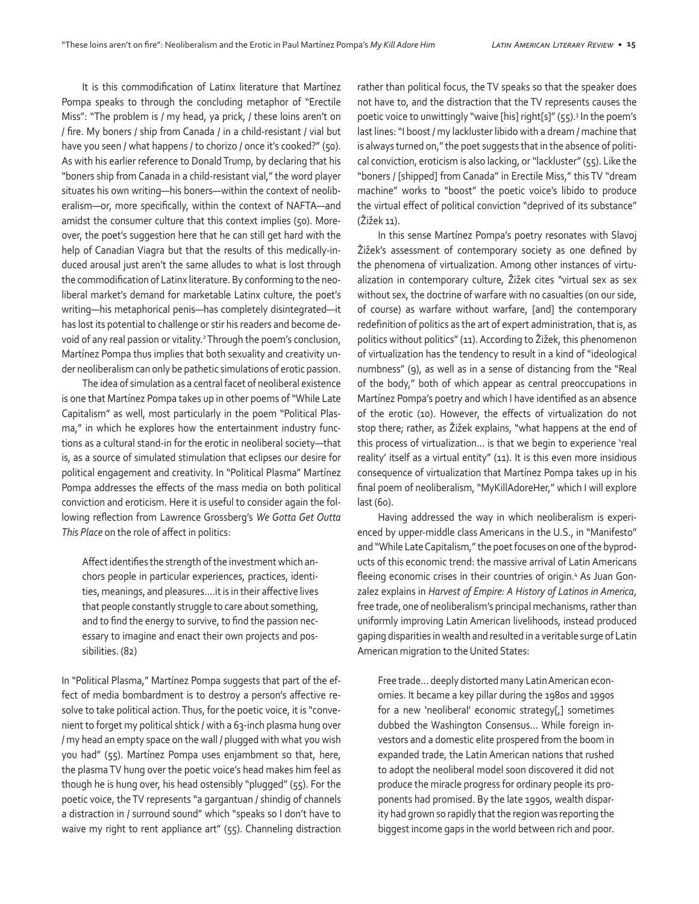It is this commodification of Latinx literature that Martínez Pompa speaks to through the concluding metaphor of "Erectile Miss": "The problem is / my head, ya prick, / these loins aren't on / fire. My boners / ship from Canada / in a child-resistant / vial but have you seen / what happens / to chorizo / once it's cooked?" (50). As with his earlier reference to Donald Trump, by declaring that his "boners ship from Canada in a child-resistant vial," the word player situates his own writing—his boners—within the context of neoliberalism—or, more specifically, within the context of NAFTA—and amidst the consumer culture that this context implies (50). Moreover, the poet's suggestion here that he can still get hard with the help of Canadian Viagra but that the results of this medically-induced arousal just aren't the same alludes to what is lost through the commodification of Latinx literature. By conforming to the neoliberal market's demand for marketable Latinx culture, the poet's writing—his metaphorical penis—has completely disintegrated—it has lost its potential to challenge or stir his readers and become devoid of any real passion or vitality.2 Through the poem's conclusion, Martínez Pompa thus implies that both sexuality and creativity under neoliberalism can only be pathetic simulations of erotic passion.

The idea of simulation as a central facet of neoliberal existence is one that Martínez Pompa takes up in other poems of "While Late Capitalism" as well, most particularly in the poem "Political Plasma," in which he explores how the entertainment industry functions as a cultural stand-in for the erotic in neoliberal society—that is, as a source of simulated stimulation that eclipses our desire for political engagement and creativity. In "Political Plasma" Martínez Pompa addresses the effects of the mass media on both political conviction and eroticism. Here it is useful to consider again the following reflection from Lawrence Grossberg's *We Gotta Get Outta This Place* on the role of affect in politics:

Affect identifies the strength of the investment which anchors people in particular experiences, practices, identities, meanings, and pleasures….it is in their affective lives that people constantly struggle to care about something, and to find the energy to survive, to find the passion necessary to imagine and enact their own projects and possibilities. (82)

In "Political Plasma," Martínez Pompa suggests that part of the effect of media bombardment is to destroy a person's affective resolve to take political action. Thus, for the poetic voice, it is "convenient to forget my political shtick / with a 63-inch plasma hung over / my head an empty space on the wall / plugged with what you wish you had" (55). Martínez Pompa uses enjambment so that, here, the plasma TV hung over the poetic voice's head makes him feel as though he is hung over, his head ostensibly "plugged" (55). For the poetic voice, the TV represents "a gargantuan / shindig of channels a distraction in / surround sound" which "speaks so I don't have to waive my right to rent appliance art" (55). Channeling distraction rather than political focus, the TV speaks so that the speaker does not have to, and the distraction that the TV represents causes the poetic voice to unwittingly "waive [his] right[s]" (55).<sup>3</sup> In the poem's last lines: "I boost / my lackluster libido with a dream / machine that is always turned on," the poet suggests that in the absence of political conviction, eroticism is also lacking, or "lackluster" (55). Like the "boners / [shipped] from Canada" in Erectile Miss," this TV "dream machine" works to "boost" the poetic voice's libido to produce the virtual effect of political conviction "deprived of its substance" (Žižek 11).

In this sense Martínez Pompa's poetry resonates with Slavoj Žižek's assessment of contemporary society as one defined by the phenomena of virtualization. Among other instances of virtualization in contemporary culture, Žižek cites "virtual sex as sex without sex, the doctrine of warfare with no casualties (on our side, of course) as warfare without warfare, [and] the contemporary redefinition of politics as the art of expert administration, that is, as politics without politics" (11). According to Žižek, this phenomenon of virtualization has the tendency to result in a kind of "ideological numbness" (9), as well as in a sense of distancing from the "Real of the body," both of which appear as central preoccupations in Martínez Pompa's poetry and which I have identified as an absence of the erotic (10). However, the effects of virtualization do not stop there; rather, as Žižek explains, "what happens at the end of this process of virtualization… is that we begin to experience 'real reality' itself as a virtual entity" (11). It is this even more insidious consequence of virtualization that Martínez Pompa takes up in his final poem of neoliberalism, "MyKillAdoreHer," which I will explore last (60).

Having addressed the way in which neoliberalism is experienced by upper-middle class Americans in the U.S., in "Manifesto" and "While Late Capitalism," the poet focuses on one of the byproducts of this economic trend: the massive arrival of Latin Americans fleeing economic crises in their countries of origin.<sup>4</sup> As Juan Gonzalez explains in *Harvest of Empire: A History of Latinos in America*, free trade, one of neoliberalism's principal mechanisms, rather than uniformly improving Latin American livelihoods, instead produced gaping disparities in wealth and resulted in a veritable surge of Latin American migration to the United States:

Free trade… deeply distorted many Latin American economies. It became a key pillar during the 1980s and 1990s for a new 'neoliberal' economic strategy[,] sometimes dubbed the Washington Consensus… While foreign investors and a domestic elite prospered from the boom in expanded trade, the Latin American nations that rushed to adopt the neoliberal model soon discovered it did not produce the miracle progress for ordinary people its proponents had promised. By the late 1990s, wealth disparity had grown so rapidly that the region was reporting the biggest income gaps in the world between rich and poor.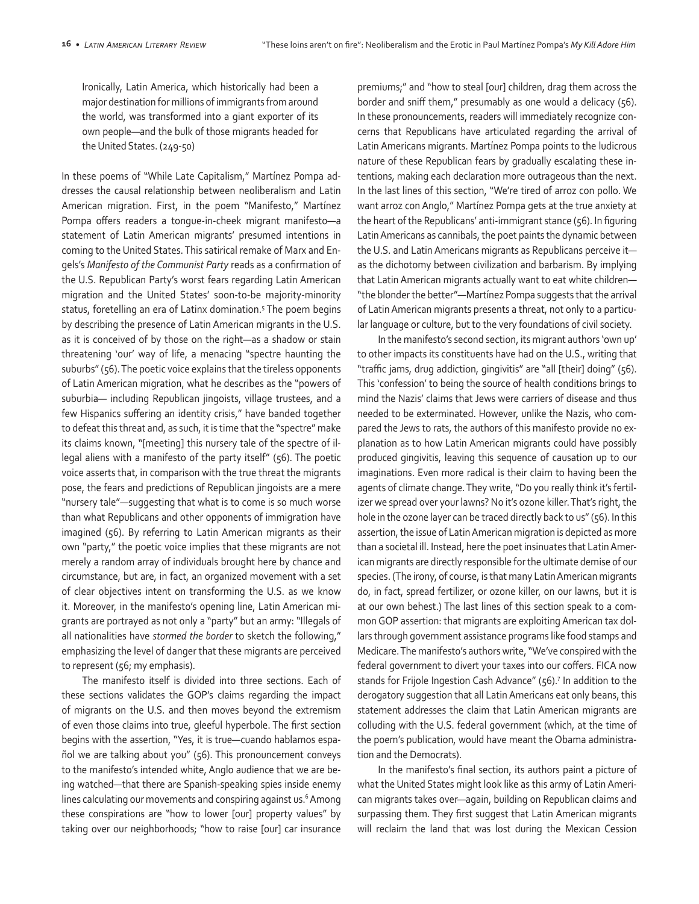Ironically, Latin America, which historically had been a major destination for millions of immigrants from around the world, was transformed into a giant exporter of its own people—and the bulk of those migrants headed for the United States. (249-50)

In these poems of "While Late Capitalism," Martínez Pompa addresses the causal relationship between neoliberalism and Latin American migration. First, in the poem "Manifesto," Martínez Pompa offers readers a tongue-in-cheek migrant manifesto—a statement of Latin American migrants' presumed intentions in coming to the United States. This satirical remake of Marx and Engels's *Manifesto of the Communist Party* reads as a confirmation of the U.S. Republican Party's worst fears regarding Latin American migration and the United States' soon-to-be majority-minority status, foretelling an era of Latinx domination.<sup>5</sup> The poem begins by describing the presence of Latin American migrants in the U.S. as it is conceived of by those on the right—as a shadow or stain threatening 'our' way of life, a menacing "spectre haunting the suburbs" (56). The poetic voice explains that the tireless opponents of Latin American migration, what he describes as the "powers of suburbia— including Republican jingoists, village trustees, and a few Hispanics suffering an identity crisis," have banded together to defeat this threat and, as such, it is time that the "spectre" make its claims known, "[meeting] this nursery tale of the spectre of illegal aliens with a manifesto of the party itself" (56). The poetic voice asserts that, in comparison with the true threat the migrants pose, the fears and predictions of Republican jingoists are a mere "nursery tale"—suggesting that what is to come is so much worse than what Republicans and other opponents of immigration have imagined (56). By referring to Latin American migrants as their own "party," the poetic voice implies that these migrants are not merely a random array of individuals brought here by chance and circumstance, but are, in fact, an organized movement with a set of clear objectives intent on transforming the U.S. as we know it. Moreover, in the manifesto's opening line, Latin American migrants are portrayed as not only a "party" but an army: "Illegals of all nationalities have *stormed the border* to sketch the following," emphasizing the level of danger that these migrants are perceived to represent (56; my emphasis).

The manifesto itself is divided into three sections. Each of these sections validates the GOP's claims regarding the impact of migrants on the U.S. and then moves beyond the extremism of even those claims into true, gleeful hyperbole. The first section begins with the assertion, "Yes, it is true—cuando hablamos español we are talking about you" (56). This pronouncement conveys to the manifesto's intended white, Anglo audience that we are being watched—that there are Spanish-speaking spies inside enemy lines calculating our movements and conspiring against us.<sup>6</sup> Among these conspirations are "how to lower [our] property values" by taking over our neighborhoods; "how to raise [our] car insurance

premiums;" and "how to steal [our] children, drag them across the border and sniff them," presumably as one would a delicacy (56). In these pronouncements, readers will immediately recognize concerns that Republicans have articulated regarding the arrival of Latin Americans migrants. Martínez Pompa points to the ludicrous nature of these Republican fears by gradually escalating these intentions, making each declaration more outrageous than the next. In the last lines of this section, "We're tired of arroz con pollo. We want arroz con Anglo," Martínez Pompa gets at the true anxiety at the heart of the Republicans' anti-immigrant stance (56). In figuring Latin Americans as cannibals, the poet paints the dynamic between the U.S. and Latin Americans migrants as Republicans perceive it as the dichotomy between civilization and barbarism. By implying that Latin American migrants actually want to eat white children— "the blonder the better"—Martínez Pompa suggests that the arrival of Latin American migrants presents a threat, not only to a particular language or culture, but to the very foundations of civil society.

In the manifesto's second section, its migrant authors 'own up' to other impacts its constituents have had on the U.S., writing that "traffic jams, drug addiction, gingivitis" are "all [their] doing" (56). This 'confession' to being the source of health conditions brings to mind the Nazis' claims that Jews were carriers of disease and thus needed to be exterminated. However, unlike the Nazis, who compared the Jews to rats, the authors of this manifesto provide no explanation as to how Latin American migrants could have possibly produced gingivitis, leaving this sequence of causation up to our imaginations. Even more radical is their claim to having been the agents of climate change. They write, "Do you really think it's fertilizer we spread over your lawns? No it's ozone killer. That's right, the hole in the ozone layer can be traced directly back to us" (56). In this assertion, the issue of Latin American migration is depicted as more than a societal ill. Instead, here the poet insinuates that Latin American migrants are directly responsible for the ultimate demise of our species. (The irony, of course, is that many Latin American migrants do, in fact, spread fertilizer, or ozone killer, on our lawns, but it is at our own behest.) The last lines of this section speak to a common GOP assertion: that migrants are exploiting American tax dollars through government assistance programs like food stamps and Medicare. The manifesto's authors write, "We've conspired with the federal government to divert your taxes into our coffers. FICA now stands for Frijole Ingestion Cash Advance" (56).<sup>7</sup> In addition to the derogatory suggestion that all Latin Americans eat only beans, this statement addresses the claim that Latin American migrants are colluding with the U.S. federal government (which, at the time of the poem's publication, would have meant the Obama administration and the Democrats).

In the manifesto's final section, its authors paint a picture of what the United States might look like as this army of Latin American migrants takes over—again, building on Republican claims and surpassing them. They first suggest that Latin American migrants will reclaim the land that was lost during the Mexican Cession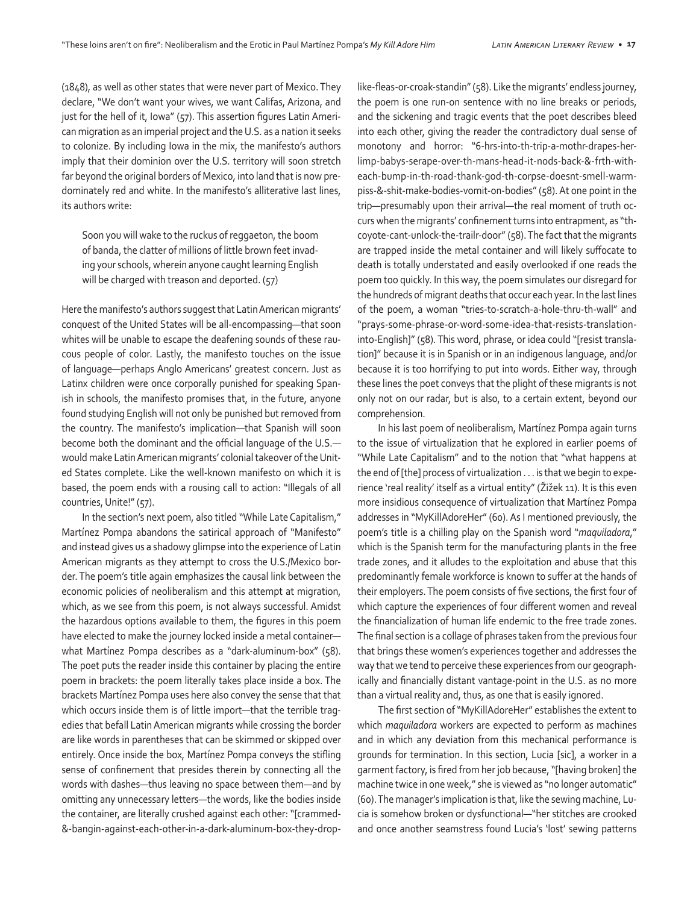(1848), as well as other states that were never part of Mexico. They declare, "We don't want your wives, we want Califas, Arizona, and just for the hell of it, Iowa" (57). This assertion figures Latin American migration as an imperial project and the U.S. as a nation it seeks to colonize. By including Iowa in the mix, the manifesto's authors imply that their dominion over the U.S. territory will soon stretch far beyond the original borders of Mexico, into land that is now predominately red and white. In the manifesto's alliterative last lines, its authors write:

Soon you will wake to the ruckus of reggaeton, the boom of banda, the clatter of millions of little brown feet invading your schools, wherein anyone caught learning English will be charged with treason and deported. (57)

Here the manifesto's authors suggest that Latin American migrants' conquest of the United States will be all-encompassing—that soon whites will be unable to escape the deafening sounds of these raucous people of color. Lastly, the manifesto touches on the issue of language—perhaps Anglo Americans' greatest concern. Just as Latinx children were once corporally punished for speaking Spanish in schools, the manifesto promises that, in the future, anyone found studying English will not only be punished but removed from the country. The manifesto's implication—that Spanish will soon become both the dominant and the official language of the U.S. would make Latin American migrants' colonial takeover of the United States complete. Like the well-known manifesto on which it is based, the poem ends with a rousing call to action: "Illegals of all countries, Unite!" (57).

In the section's next poem, also titled "While Late Capitalism," Martínez Pompa abandons the satirical approach of "Manifesto" and instead gives us a shadowy glimpse into the experience of Latin American migrants as they attempt to cross the U.S./Mexico border. The poem's title again emphasizes the causal link between the economic policies of neoliberalism and this attempt at migration, which, as we see from this poem, is not always successful. Amidst the hazardous options available to them, the figures in this poem have elected to make the journey locked inside a metal container what Martínez Pompa describes as a "dark-aluminum-box" (58). The poet puts the reader inside this container by placing the entire poem in brackets: the poem literally takes place inside a box. The brackets Martínez Pompa uses here also convey the sense that that which occurs inside them is of little import—that the terrible tragedies that befall Latin American migrants while crossing the border are like words in parentheses that can be skimmed or skipped over entirely. Once inside the box, Martínez Pompa conveys the stifling sense of confinement that presides therein by connecting all the words with dashes—thus leaving no space between them—and by omitting any unnecessary letters—the words, like the bodies inside the container, are literally crushed against each other: "[crammed- &-bangin-against-each-other-in-a-dark-aluminum-box-they-droplike-fleas-or-croak-standin" (58). Like the migrants' endless journey, the poem is one run-on sentence with no line breaks or periods, and the sickening and tragic events that the poet describes bleed into each other, giving the reader the contradictory dual sense of monotony and horror: "6-hrs-into-th-trip-a-mothr-drapes-herlimp-babys-serape-over-th-mans-head-it-nods-back-&-frth-witheach-bump-in-th-road-thank-god-th-corpse-doesnt-smell-warmpiss-&-shit-make-bodies-vomit-on-bodies" (58). At one point in the trip—presumably upon their arrival—the real moment of truth occurs when the migrants' confinement turns into entrapment, as "thcoyote-cant-unlock-the-trailr-door" (58). The fact that the migrants are trapped inside the metal container and will likely suffocate to death is totally understated and easily overlooked if one reads the poem too quickly. In this way, the poem simulates our disregard for the hundreds of migrant deaths that occur each year. In the last lines of the poem, a woman "tries-to-scratch-a-hole-thru-th-wall" and "prays-some-phrase-or-word-some-idea-that-resists-translationinto-English]" (58). This word, phrase, or idea could "[resist translation]" because it is in Spanish or in an indigenous language, and/or because it is too horrifying to put into words. Either way, through these lines the poet conveys that the plight of these migrants is not only not on our radar, but is also, to a certain extent, beyond our comprehension.

In his last poem of neoliberalism, Martínez Pompa again turns to the issue of virtualization that he explored in earlier poems of "While Late Capitalism" and to the notion that "what happens at the end of [the] process of virtualization . . . is that we begin to experience 'real reality' itself as a virtual entity" (Žižek 11). It is this even more insidious consequence of virtualization that Martínez Pompa addresses in "MyKillAdoreHer" (60). As I mentioned previously, the poem's title is a chilling play on the Spanish word "*maquiladora*," which is the Spanish term for the manufacturing plants in the free trade zones, and it alludes to the exploitation and abuse that this predominantly female workforce is known to suffer at the hands of their employers. The poem consists of five sections, the first four of which capture the experiences of four different women and reveal the financialization of human life endemic to the free trade zones. The final section is a collage of phrases taken from the previous four that brings these women's experiences together and addresses the way that we tend to perceive these experiences from our geographically and financially distant vantage-point in the U.S. as no more than a virtual reality and, thus, as one that is easily ignored.

The first section of "MyKillAdoreHer" establishes the extent to which *maquiladora* workers are expected to perform as machines and in which any deviation from this mechanical performance is grounds for termination. In this section, Lucia [sic], a worker in a garment factory, is fired from her job because, "[having broken] the machine twice in one week," she is viewed as "no longer automatic" (60). The manager's implication is that, like the sewing machine, Lucia is somehow broken or dysfunctional—"her stitches are crooked and once another seamstress found Lucia's 'lost' sewing patterns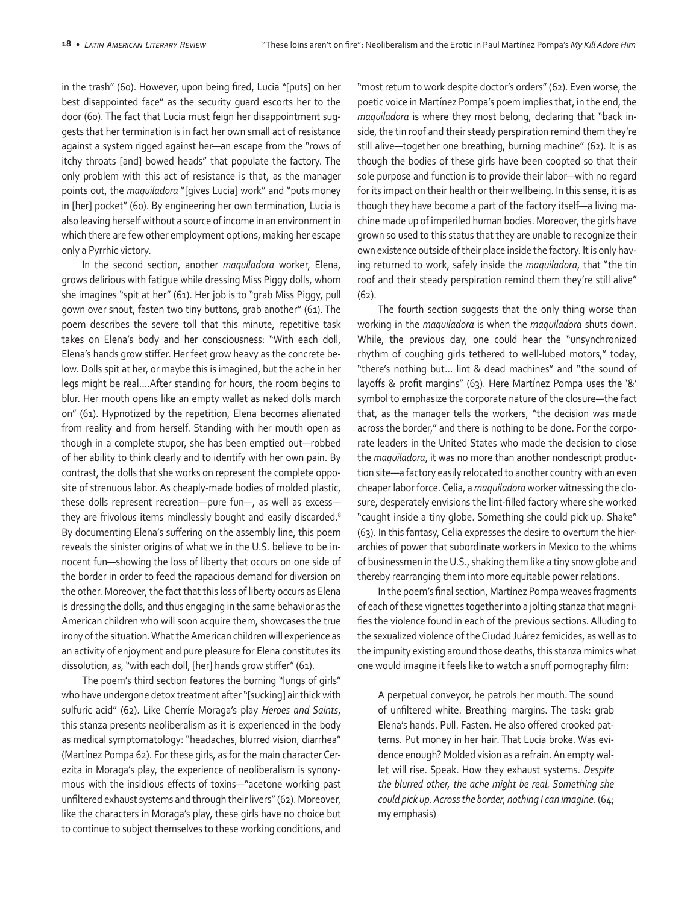in the trash" (60). However, upon being fired, Lucia "[puts] on her best disappointed face" as the security guard escorts her to the door (60). The fact that Lucia must feign her disappointment suggests that her termination is in fact her own small act of resistance against a system rigged against her—an escape from the "rows of itchy throats [and] bowed heads" that populate the factory. The only problem with this act of resistance is that, as the manager points out, the *maquiladora* "[gives Lucia] work" and "puts money in [her] pocket" (60). By engineering her own termination, Lucia is also leaving herself without a source of income in an environment in which there are few other employment options, making her escape only a Pyrrhic victory.

In the second section, another *maquiladora* worker, Elena, grows delirious with fatigue while dressing Miss Piggy dolls, whom she imagines "spit at her" (61). Her job is to "grab Miss Piggy, pull gown over snout, fasten two tiny buttons, grab another" (61). The poem describes the severe toll that this minute, repetitive task takes on Elena's body and her consciousness: "With each doll, Elena's hands grow stiffer. Her feet grow heavy as the concrete below. Dolls spit at her, or maybe this is imagined, but the ache in her legs might be real….After standing for hours, the room begins to blur. Her mouth opens like an empty wallet as naked dolls march on" (61). Hypnotized by the repetition, Elena becomes alienated from reality and from herself. Standing with her mouth open as though in a complete stupor, she has been emptied out—robbed of her ability to think clearly and to identify with her own pain. By contrast, the dolls that she works on represent the complete opposite of strenuous labor. As cheaply-made bodies of molded plastic, these dolls represent recreation—pure fun—, as well as excess they are frivolous items mindlessly bought and easily discarded.<sup>8</sup> By documenting Elena's suffering on the assembly line, this poem reveals the sinister origins of what we in the U.S. believe to be innocent fun—showing the loss of liberty that occurs on one side of the border in order to feed the rapacious demand for diversion on the other. Moreover, the fact that this loss of liberty occurs as Elena is dressing the dolls, and thus engaging in the same behavior as the American children who will soon acquire them, showcases the true irony of the situation. What the American children will experience as an activity of enjoyment and pure pleasure for Elena constitutes its dissolution, as, "with each doll, [her] hands grow stiffer" (61).

The poem's third section features the burning "lungs of girls" who have undergone detox treatment after "[sucking] air thick with sulfuric acid" (62). Like Cherríe Moraga's play *Heroes and Saints*, this stanza presents neoliberalism as it is experienced in the body as medical symptomatology: "headaches, blurred vision, diarrhea" (Martínez Pompa 62). For these girls, as for the main character Cerezita in Moraga's play, the experience of neoliberalism is synonymous with the insidious effects of toxins—"acetone working past unfiltered exhaust systems and through their livers" (62). Moreover, like the characters in Moraga's play, these girls have no choice but to continue to subject themselves to these working conditions, and

"most return to work despite doctor's orders" (62). Even worse, the poetic voice in Martínez Pompa's poem implies that, in the end, the *maquiladora* is where they most belong, declaring that "back inside, the tin roof and their steady perspiration remind them they're still alive—together one breathing, burning machine" (62). It is as though the bodies of these girls have been coopted so that their sole purpose and function is to provide their labor—with no regard for its impact on their health or their wellbeing. In this sense, it is as though they have become a part of the factory itself—a living machine made up of imperiled human bodies. Moreover, the girls have grown so used to this status that they are unable to recognize their own existence outside of their place inside the factory. It is only having returned to work, safely inside the *maquiladora*, that "the tin roof and their steady perspiration remind them they're still alive" (62).

The fourth section suggests that the only thing worse than working in the *maquiladora* is when the *maquiladora* shuts down. While, the previous day, one could hear the "unsynchronized rhythm of coughing girls tethered to well-lubed motors," today, "there's nothing but… lint & dead machines" and "the sound of layoffs & profit margins" (63). Here Martínez Pompa uses the '&' symbol to emphasize the corporate nature of the closure—the fact that, as the manager tells the workers, "the decision was made across the border," and there is nothing to be done. For the corporate leaders in the United States who made the decision to close the *maquiladora*, it was no more than another nondescript production site—a factory easily relocated to another country with an even cheaper labor force. Celia, a *maquiladora* worker witnessing the closure, desperately envisions the lint-filled factory where she worked "caught inside a tiny globe. Something she could pick up. Shake" (63). In this fantasy, Celia expresses the desire to overturn the hierarchies of power that subordinate workers in Mexico to the whims of businessmen in the U.S., shaking them like a tiny snow globe and thereby rearranging them into more equitable power relations.

In the poem's final section, Martínez Pompa weaves fragments of each of these vignettes together into a jolting stanza that magnifies the violence found in each of the previous sections. Alluding to the sexualized violence of the Ciudad Juárez femicides, as well as to the impunity existing around those deaths, this stanza mimics what one would imagine it feels like to watch a snuff pornography film:

A perpetual conveyor, he patrols her mouth. The sound of unfiltered white. Breathing margins. The task: grab Elena's hands. Pull. Fasten. He also offered crooked patterns. Put money in her hair. That Lucia broke. Was evidence enough? Molded vision as a refrain. An empty wallet will rise. Speak. How they exhaust systems. *Despite the blurred other, the ache might be real. Something she could pick up. Across the border, nothing I can imagine*. (64; my emphasis)